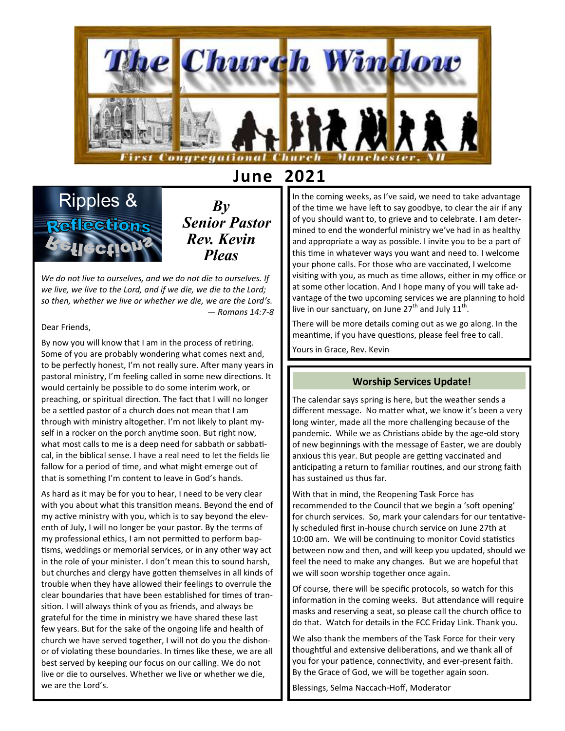



# *By Senior Pastor Rev. Kevin Pleas*

*We do not live to ourselves, and we do not die to ourselves. If we live, we live to the Lord, and if we die, we die to the Lord; so then, whether we live or whether we die, we are the Lord's. — Romans 14:7-8*

#### Dear Friends,

By now you will know that I am in the process of retiring. Some of you are probably wondering what comes next and, to be perfectly honest, I'm not really sure. After many years in pastoral ministry, I'm feeling called in some new directions. It would certainly be possible to do some interim work, or preaching, or spiritual direction. The fact that I will no longer be a settled pastor of a church does not mean that I am through with ministry altogether. I'm not likely to plant myself in a rocker on the porch anytime soon. But right now, what most calls to me is a deep need for sabbath or sabbatical, in the biblical sense. I have a real need to let the fields lie fallow for a period of time, and what might emerge out of that is something I'm content to leave in God's hands.

As hard as it may be for you to hear, I need to be very clear with you about what this transition means. Beyond the end of my active ministry with you, which is to say beyond the eleventh of July, I will no longer be your pastor. By the terms of my professional ethics, I am not permitted to perform baptisms, weddings or memorial services, or in any other way act in the role of your minister. I don't mean this to sound harsh, but churches and clergy have gotten themselves in all kinds of trouble when they have allowed their feelings to overrule the clear boundaries that have been established for times of transition. I will always think of you as friends, and always be grateful for the time in ministry we have shared these last few years. But for the sake of the ongoing life and health of church we have served together, I will not do you the dishonor of violating these boundaries. In times like these, we are all best served by keeping our focus on our calling. We do not live or die to ourselves. Whether we live or whether we die, we are the Lord's.

# **June 2021**

In the coming weeks, as I've said, we need to take advantage of the time we have left to say goodbye, to clear the air if any of you should want to, to grieve and to celebrate. I am determined to end the wonderful ministry we've had in as healthy and appropriate a way as possible. I invite you to be a part of this time in whatever ways you want and need to. I welcome your phone calls. For those who are vaccinated, I welcome visiting with you, as much as time allows, either in my office or at some other location. And I hope many of you will take advantage of the two upcoming services we are planning to hold live in our sanctuary, on June 27<sup>th</sup> and July 11<sup>th</sup>.

There will be more details coming out as we go along. In the meantime, if you have questions, please feel free to call.

Yours in Grace, Rev. Kevin

### **Worship Services Update!**

The calendar says spring is here, but the weather sends a different message. No matter what, we know it's been a very long winter, made all the more challenging because of the pandemic. While we as Christians abide by the age-old story of new beginnings with the message of Easter, we are doubly anxious this year. But people are getting vaccinated and anticipating a return to familiar routines, and our strong faith has sustained us thus far.

With that in mind, the Reopening Task Force has recommended to the Council that we begin a 'soft opening' for church services. So, mark your calendars for our tentatively scheduled first in-house church service on June 27th at 10:00 am. We will be continuing to monitor Covid statistics between now and then, and will keep you updated, should we feel the need to make any changes. But we are hopeful that we will soon worship together once again.

Of course, there will be specific protocols, so watch for this information in the coming weeks. But attendance will require masks and reserving a seat, so please call the church office to do that. Watch for details in the FCC Friday Link. Thank you.

We also thank the members of the Task Force for their very thoughtful and extensive deliberations, and we thank all of you for your patience, connectivity, and ever-present faith. By the Grace of God, we will be together again soon.

Blessings, Selma Naccach-Hoff, Moderator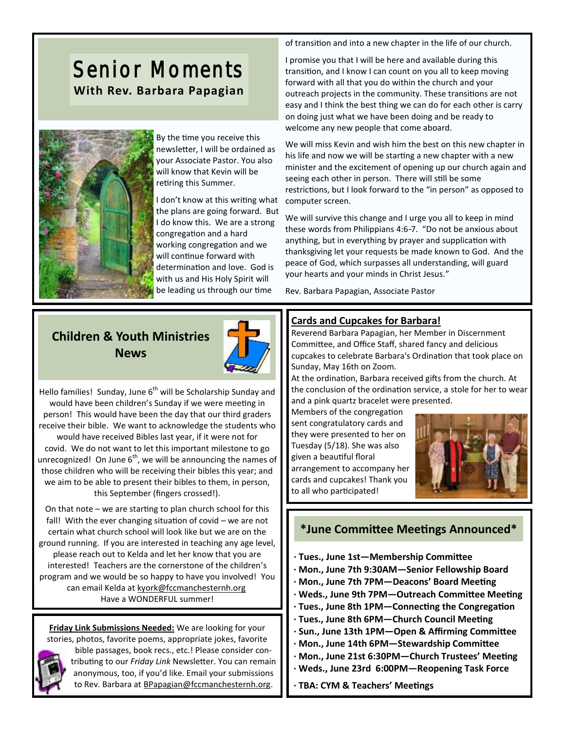# Senior Moments **With Rev. Barbara Papagian**



By the time you receive this newsletter, I will be ordained as your Associate Pastor. You also will know that Kevin will be retiring this Summer.

I don't know at this writing what the plans are going forward. But I do know this. We are a strong congregation and a hard working congregation and we will continue forward with determination and love. God is with us and His Holy Spirit will be leading us through our time

of transition and into a new chapter in the life of our church.

I promise you that I will be here and available during this transition, and I know I can count on you all to keep moving forward with all that you do within the church and your outreach projects in the community. These transitions are not easy and I think the best thing we can do for each other is carry on doing just what we have been doing and be ready to welcome any new people that come aboard.

We will miss Kevin and wish him the best on this new chapter in his life and now we will be starting a new chapter with a new minister and the excitement of opening up our church again and seeing each other in person. There will still be some restrictions, but I look forward to the "in person" as opposed to computer screen.

We will survive this change and I urge you all to keep in mind these words from Philippians 4:6-7. "Do not be anxious about anything, but in everything by prayer and supplication with thanksgiving let your requests be made known to God. And the peace of God, which surpasses all understanding, will guard your hearts and your minds in Christ Jesus."

Rev. Barbara Papagian, Associate Pastor

# **Children & Youth Ministries News**



Hello families! Sunday, June 6<sup>th</sup> will be Scholarship Sunday and would have been children's Sunday if we were meeting in person! This would have been the day that our third graders receive their bible. We want to acknowledge the students who would have received Bibles last year, if it were not for covid. We do not want to let this important milestone to go unrecognized! On June  $6<sup>th</sup>$ , we will be announcing the names of those children who will be receiving their bibles this year; and we aim to be able to present their bibles to them, in person, this September (fingers crossed!).

On that note – we are starting to plan church school for this fall! With the ever changing situation of covid – we are not certain what church school will look like but we are on the ground running. If you are interested in teaching any age level, please reach out to Kelda and let her know that you are interested! Teachers are the cornerstone of the children's program and we would be so happy to have you involved! You can email Kelda at [kyork@fccmanchesternh.org](mailto:kyork@fccmanchesternh.org) Have a WONDERFUL summer!

**Friday Link Submissions Needed:** We are looking for your stories, photos, favorite poems, appropriate jokes, favorite



bible passages, book recs., etc.! Please consider contributing to our *Friday Link* Newsletter. You can remain anonymous, too, if you'd like. Email your submissions to Rev. Barbara at BPapagian@fccmanchesternh.org.

## **Cards and Cupcakes for Barbara!**

Reverend Barbara Papagian, her Member in Discernment Committee, and Office Staff, shared fancy and delicious cupcakes to celebrate Barbara's Ordination that took place on Sunday, May 16th on Zoom.

At the ordination, Barbara received gifts from the church. At the conclusion of the ordination service, a stole for her to wear and a pink quartz bracelet were presented.

Members of the congregation sent congratulatory cards and they were presented to her on Tuesday (5/18). She was also given a beautiful floral arrangement to accompany her cards and cupcakes! Thank you to all who participated!



## **\*June Committee Meetings Announced\***

- **· Tues., June 1st—Membership Committee**
- **· Mon., June 7th 9:30AM—Senior Fellowship Board**
- **· Mon., June 7th 7PM—Deacons' Board Meeting**
- **· Weds., June 9th 7PM—Outreach Committee Meeting**
- **· Tues., June 8th 1PM—Connecting the Congregation**
- **· Tues., June 8th 6PM—Church Council Meeting**
- **· Sun., June 13th 1PM—Open & Affirming Committee**
- **· Mon., June 14th 6PM—Stewardship Committee**
- **· Mon., June 21st 6:30PM—Church Trustees' Meeting**
- **· Weds., June 23rd 6:00PM—Reopening Task Force**
- **· TBA: CYM & Teachers' Meetings**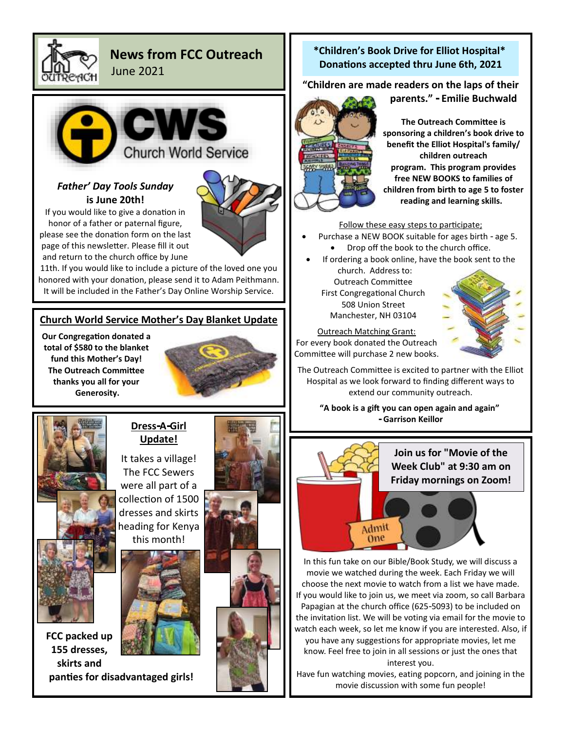

# **News from FCC Outreach**

June 2021



## *Father' Day Tools Sunday*  **is June 20th!**



If you would like to give a donation in honor of a father or paternal figure, please see the donation form on the last page of this newsletter. Please fill it out and return to the church office by June

11th. If you would like to include a picture of the loved one you honored with your donation, please send it to Adam Peithmann. It will be included in the Father's Day Online Worship Service.

# **Church World Service Mother's Day Blanket Update**

**Our Congregation donated a total of \$580 to the blanket fund this Mother's Day! The Outreach Committee thanks you all for your Generosity.**





**FCC packed up 155 dresses, skirts and panties for disadvantaged girls!**



It takes a village! The FCC Sewers were all part of a collection of 1500 dresses and skirts heading for Kenya this month!





## **\*Children's Book Drive for Elliot Hospital\* Donations accepted thru June 6th, 2021**

## **"Children are made readers on the laps of their**

**parents." - Emilie Buchwald**

**The Outreach Committee is sponsoring a children's book drive to benefit the Elliot Hospital's family/ children outreach program. This program provides free NEW BOOKS to families of children from birth to age 5 to foster reading and learning skills.** 

Follow these easy steps to participate;

- Purchase a NEW BOOK suitable for ages birth age 5. Drop off the book to the church office.
- If ordering a book online, have the book sent to the church. Address to:

Outreach Committee First Congregational Church 508 Union Street Manchester, NH 03104



Outreach Matching Grant: For every book donated the Outreach Committee will purchase 2 new books.

The Outreach Committee is excited to partner with the Elliot Hospital as we look forward to finding different ways to extend our community outreach.

**"A book is a gift you can open again and again" - Garrison Keillor**



In this fun take on our Bible/Book Study, we will discuss a movie we watched during the week. Each Friday we will choose the next movie to watch from a list we have made. If you would like to join us, we meet via zoom, so call Barbara Papagian at the church office (625-5093) to be included on the invitation list. We will be voting via email for the movie to watch each week, so let me know if you are interested. Also, if you have any suggestions for appropriate movies, let me know. Feel free to join in all sessions or just the ones that interest you.

Have fun watching movies, eating popcorn, and joining in the movie discussion with some fun people!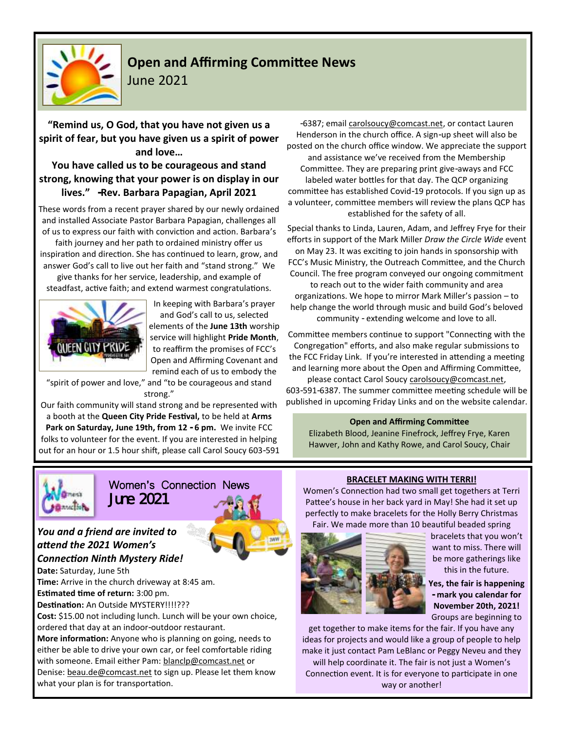

# **Open and Affirming Committee News**

June 2021

**"Remind us, O God, that you have not given us a spirit of fear, but you have given us a spirit of power and love…**

## **You have called us to be courageous and stand strong, knowing that your power is on display in our lives." -Rev. Barbara Papagian, April 2021**

These words from a recent prayer shared by our newly ordained and installed Associate Pastor Barbara Papagian, challenges all of us to express our faith with conviction and action. Barbara's

faith journey and her path to ordained ministry offer us inspiration and direction. She has continued to learn, grow, and answer God's call to live out her faith and "stand strong." We give thanks for her service, leadership, and example of

steadfast, active faith; and extend warmest congratulations.



In keeping with Barbara's prayer and God's call to us, selected elements of the **June 13th** worship service will highlight **Pride Month**, to reaffirm the promises of FCC's Open and Affirming Covenant and remind each of us to embody the

"spirit of power and love," and "to be courageous and stand strong."

Our faith community will stand strong and be represented with a booth at the **Queen City Pride Festival,** to be held at **Arms Park on Saturday, June 19th, from 12 - 6 pm.** We invite FCC folks to volunteer for the event. If you are interested in helping out for an hour or 1.5 hour shift, please call Carol Soucy 603-591

-6387; email [carolsoucy@comcast.net,](mailto:carolsoucy@comcast.net) or contact Lauren Henderson in the church office. A sign-up sheet will also be posted on the church office window. We appreciate the support and assistance we've received from the Membership Committee. They are preparing print give-aways and FCC labeled water bottles for that day. The QCP organizing committee has established Covid-19 protocols. If you sign up as a volunteer, committee members will review the plans QCP has established for the safety of all.

Special thanks to Linda, Lauren, Adam, and Jeffrey Frye for their efforts in support of the Mark Miller *Draw the Circle Wide* event on May 23. It was exciting to join hands in sponsorship with FCC's Music Ministry, the Outreach Committee, and the Church Council. The free program conveyed our ongoing commitment to reach out to the wider faith community and area organizations. We hope to mirror Mark Miller's passion – to help change the world through music and build God's beloved community - extending welcome and love to all.

Committee members continue to support "Connecting with the Congregation" efforts, and also make regular submissions to the FCC Friday Link. If you're interested in attending a meeting and learning more about the Open and Affirming Committee,

please contact Carol Soucy carolsoucy@comcast.net, 603-591-6387. The summer committee meeting schedule will be published in upcoming Friday Links and on the website calendar.

### **Open and Affirming Committee**

Elizabeth Blood, Jeanine Finefrock, Jeffrey Frye, Karen Hawver, John and Kathy Rowe, and Carol Soucy, Chair

## Women's Connection News June 2021

*You and a friend are invited to attend the 2021 Women's Connection Ninth Mystery Ride!*

ī

**Date:** Saturday, June 5th **Time:** Arrive in the church driveway at 8:45 am. **Estimated time of return:** 3:00 pm. **Destination:** An Outside MYSTERY!!!!???

**Cost:** \$15.00 not including lunch. Lunch will be your own choice, ordered that day at an indoor-outdoor restaurant.

**More information:** Anyone who is planning on going, needs to either be able to drive your own car, or feel comfortable riding with someone. Email either Pam: [blanclp@comcast.net](mailto:blanclp@comcast.net) or Denise: [beau.de@comcast.net](mailto:beau.de@comcast.net) to sign up. Please let them know what your plan is for transportation.

### **BRACELET MAKING WITH TERRI!**

Women's Connection had two small get togethers at Terri Pattee's house in her back yard in May! She had it set up perfectly to make bracelets for the Holly Berry Christmas Fair. We made more than 10 beautiful beaded spring



bracelets that you won't want to miss. There will be more gatherings like this in the future.

**Yes, the fair is happening - mark you calendar for November 20th, 2021!**  Groups are beginning to

get together to make items for the fair. If you have any ideas for projects and would like a group of people to help make it just contact Pam LeBlanc or Peggy Neveu and they will help coordinate it. The fair is not just a Women's Connection event. It is for everyone to participate in one way or another!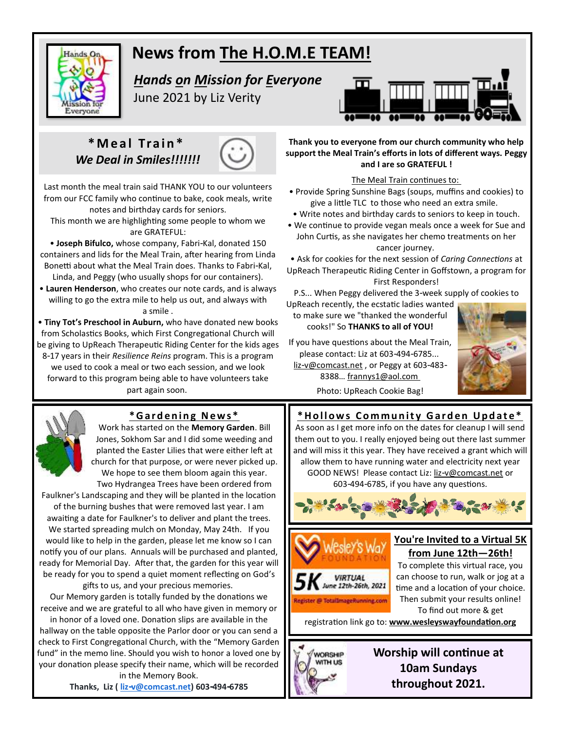

# **News from The H.O.M.E TEAM!**

 *Hands on Mission for Everyone* June 2021 by Liz Verity

# **\* M e a l Tra i n \***  *We Deal in Smiles!!!!!!!*



Last month the meal train said THANK YOU to our volunteers from our FCC family who continue to bake, cook meals, write notes and birthday cards for seniors.

This month we are highlighting some people to whom we are GRATEFUL:

• **Joseph Bifulco,** whose company, Fabri-Kal, donated 150 containers and lids for the Meal Train, after hearing from Linda Bonetti about what the Meal Train does. Thanks to Fabri-Kal, Linda, and Peggy (who usually shops for our containers).

• **Lauren Henderson**, who creates our note cards, and is always willing to go the extra mile to help us out, and always with a smile .

• **Tiny Tot's Preschool in Auburn,** who have donated new books from Scholastics Books, which First Congregational Church will be giving to UpReach Therapeutic Riding Center for the kids ages 8-17 years in their *Resilience Reins* program. This is a program we used to cook a meal or two each session, and we look forward to this program being able to have volunteers take part again soon.



**Thank you to everyone from our church community who help support the Meal Train's efforts in lots of different ways. Peggy and I are so GRATEFUL !**

### The Meal Train continues to:

- Provide Spring Sunshine Bags (soups, muffins and cookies) to give a little TLC to those who need an extra smile.
- Write notes and birthday cards to seniors to keep in touch.
- We continue to provide vegan meals once a week for Sue and John Curtis, as she navigates her chemo treatments on her cancer journey.

• Ask for cookies for the next session of *Caring Connections* at UpReach Therapeutic Riding Center in Goffstown, a program for First Responders!

P.S... When Peggy delivered the 3-week supply of cookies to

UpReach recently, the ecstatic ladies wanted to make sure we "thanked the wonderful cooks!" So **THANKS to all of YOU!**

If you have questions about the Meal Train, please contact: Liz at 603-494-6785... liz-v@comcast.net , or Peggy at 603-483- 8388… [frannys1@aol.com](mailto:frannys1@aol.com) Photo: UpReach Cookie Bag!





## **\* G a r d e n i n g N e w s \***

Work has started on the **Memory Garden**. Bill Jones, Sokhom Sar and I did some weeding and planted the Easter Lilies that were either left at church for that purpose, or were never picked up. We hope to see them bloom again this year.

Two Hydrangea Trees have been ordered from Faulkner's Landscaping and they will be planted in the location of the burning bushes that were removed last year. I am awaiting a date for Faulkner's to deliver and plant the trees. We started spreading mulch on Monday, May 24th. If you would like to help in the garden, please let me know so I can notify you of our plans. Annuals will be purchased and planted, ready for Memorial Day. After that, the garden for this year will be ready for you to spend a quiet moment reflecting on God's

gifts to us, and your precious memories.

Our Memory garden is totally funded by the donations we receive and we are grateful to all who have given in memory or

in honor of a loved one. Donation slips are available in the hallway on the table opposite the Parlor door or you can send a check to First Congregational Church, with the "Memory Garden fund" in the memo line. Should you wish to honor a loved one by your donation please specify their name, which will be recorded in the Memory Book.

**Thanks, Liz ( [liz-v@comcast.net\)](mailto:liz-v@comcast.net) 603-494-6785**

**\* H o l l o w s C o m m u n i t y G a r d e n U p d a t e \*** As soon as I get more info on the dates for cleanup I will send them out to you. I really enjoyed being out there last summer and will miss it this year. They have received a grant which will allow them to have running water and electricity next year GOOD NEWS! Please contact Liz: [liz-v@comcast.net](mailto:liz-v@comcast.net) or 603-494-6785, if you have any questions.



registration link go to: **www.wesleyswayfoundation.org**



**Worship will continue at 10am Sundays throughout 2021.**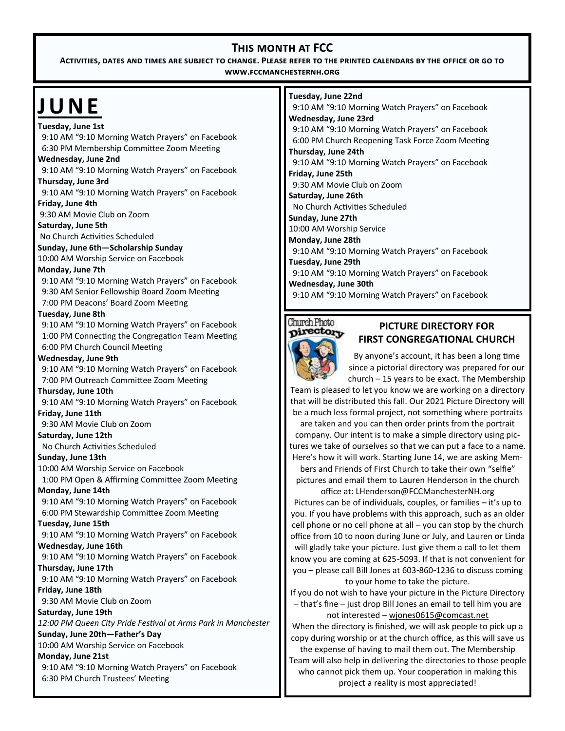## **This month at FCC**

**Activities, dates and times are subject to change. Please refer to the printed calendars by the office or go to www.fccmanchesternh.org**

# **J U N E**

**Tuesday, June 1st** 9:10 AM "9:10 Morning Watch Prayers" on Facebook 6:30 PM Membership Committee Zoom Meeting

### **Wednesday, June 2nd**

9:10 AM "9:10 Morning Watch Prayers" on Facebook **Thursday, June 3rd**

9:10 AM "9:10 Morning Watch Prayers" on Facebook

**Friday, June 4th**

9:30 AM Movie Club on Zoom

### **Saturday, June 5th**

No Church Activities Scheduled

**Sunday, June 6th—Scholarship Sunday** 10:00 AM Worship Service on Facebook

### **Monday, June 7th**

9:10 AM "9:10 Morning Watch Prayers" on Facebook 9:30 AM Senior Fellowship Board Zoom Meeting 7:00 PM Deacons' Board Zoom Meeting

### **Tuesday, June 8th**

9:10 AM "9:10 Morning Watch Prayers" on Facebook 1:00 PM Connecting the Congregation Team Meeting 6:00 PM Church Council Meeting

### **Wednesday, June 9th**

 9:10 AM "9:10 Morning Watch Prayers" on Facebook 7:00 PM Outreach Committee Zoom Meeting

### **Thursday, June 10th**

9:10 AM "9:10 Morning Watch Prayers" on Facebook **Friday, June 11th**

9:30 AM Movie Club on Zoom

### **Saturday, June 12th**

No Church Activities Scheduled

### **Sunday, June 13th**

10:00 AM Worship Service on Facebook

1:00 PM Open & Affirming Committee Zoom Meeting

### **Monday, June 14th**

 9:10 AM "9:10 Morning Watch Prayers" on Facebook 6:00 PM Stewardship Committee Zoom Meeting

### **Tuesday, June 15th**

9:10 AM "9:10 Morning Watch Prayers" on Facebook **Wednesday, June 16th**

9:10 AM "9:10 Morning Watch Prayers" on Facebook

### **Thursday, June 17th**

9:10 AM "9:10 Morning Watch Prayers" on Facebook

## **Friday, June 18th**

9:30 AM Movie Club on Zoom

# **Saturday, June 19th**

*12:00 PM Queen City Pride Festival at Arms Park in Manchester* **Sunday, June 20th—Father's Day**

10:00 AM Worship Service on Facebook

### **Monday, June 21st**

9:10 AM "9:10 Morning Watch Prayers" on Facebook 6:30 PM Church Trustees' Meeting

### **Tuesday, June 22nd**

9:10 AM "9:10 Morning Watch Prayers" on Facebook **Wednesday, June 23rd** 9:10 AM "9:10 Morning Watch Prayers" on Facebook 6:00 PM Church Reopening Task Force Zoom Meeting **Thursday, June 24th** 9:10 AM "9:10 Morning Watch Prayers" on Facebook **Friday, June 25th** 9:30 AM Movie Club on Zoom **Saturday, June 26th** No Church Activities Scheduled **Sunday, June 27th** 10:00 AM Worship Service **Monday, June 28th** 9:10 AM "9:10 Morning Watch Prayers" on Facebook **Tuesday, June 29th** 9:10 AM "9:10 Morning Watch Prayers" on Facebook **Wednesday, June 30th** 9:10 AM "9:10 Morning Watch Prayers" on Facebook

# Church Photo **Directory**

### **PICTURE DIRECTORY FOR FIRST CONGREGATIONAL CHURCH**

By anyone's account, it has been a long time since a pictorial directory was prepared for our church – 15 years to be exact. The Membership

Team is pleased to let you know we are working on a directory that will be distributed this fall. Our 2021 Picture Directory will be a much less formal project, not something where portraits

are taken and you can then order prints from the portrait company. Our intent is to make a simple directory using pictures we take of ourselves so that we can put a face to a name. Here's how it will work. Starting June 14, we are asking Mem-

bers and Friends of First Church to take their own "selfie" pictures and email them to Lauren Henderson in the church

office at: [LHenderson@FCCManchesterNH.org](mailto:lhendersonFCC@yahoo.com) Pictures can be of individuals, couples, or families – it's up to you. If you have problems with this approach, such as an older cell phone or no cell phone at all – you can stop by the church office from 10 to noon during June or July, and Lauren or Linda will gladly take your picture. Just give them a call to let them know you are coming at 625-5093. If that is not convenient for you – please call Bill Jones at 603-860-1236 to discuss coming to your home to take the picture.

If you do not wish to have your picture in the Picture Directory – that's fine – just drop Bill Jones an email to tell him you are not interested – [wjones0615@comcast.net](mailto:wjones0615@comcast.net)

When the directory is finished, we will ask people to pick up a copy during worship or at the church office, as this will save us the expense of having to mail them out. The Membership Team will also help in delivering the directories to those people who cannot pick them up. Your cooperation in making this project a reality is most appreciated!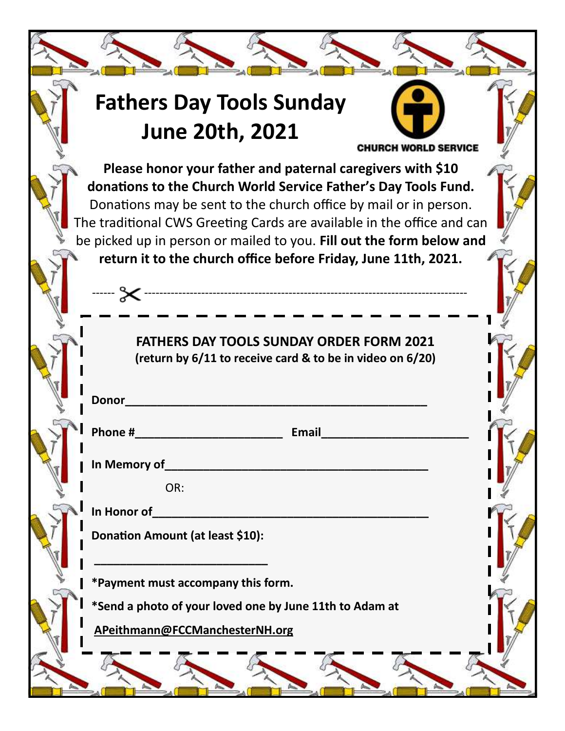| <b>Fathers Day Tools Sunday</b><br><b>June 20th, 2021</b><br>D SERVICI                                                                                                                                                                                                                                                                             |
|----------------------------------------------------------------------------------------------------------------------------------------------------------------------------------------------------------------------------------------------------------------------------------------------------------------------------------------------------|
| Please honor your father and paternal caregivers with \$10<br>donations to the Church World Service Father's Day Tools Fund.<br>Donations may be sent to the church office by mail or in person.<br>The traditional CWS Greeting Cards are available in the office and can<br>be picked up in person or mailed to you. Fill out the form below and |
| return it to the church office before Friday, June 11th, 2021.<br>----- "≫                                                                                                                                                                                                                                                                         |
| <b>FATHERS DAY TOOLS SUNDAY ORDER FORM 2021</b><br>(return by 6/11 to receive card & to be in video on 6/20)<br>Donor                                                                                                                                                                                                                              |
| Phone #<br><b>Email</b><br>In Memory of<br>OR:                                                                                                                                                                                                                                                                                                     |
| In Honor of<br>Donation Amount (at least \$10):<br>*Payment must accompany this form.                                                                                                                                                                                                                                                              |
| *Send a photo of your loved one by June 11th to Adam at<br>APeithmann@FCCManchesterNH.org                                                                                                                                                                                                                                                          |